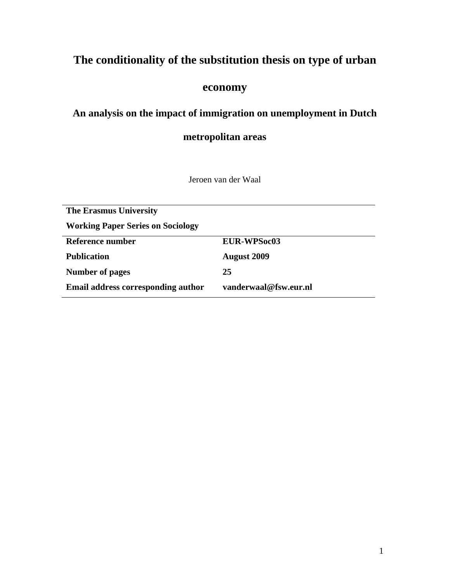# **The conditionality of the substitution thesis on type of urban**

# **economy**

# **An analysis on the impact of immigration on unemployment in Dutch**

# **metropolitan areas**

Jeroen van der Waal

| <b>The Erasmus University</b>            |                       |  |  |  |
|------------------------------------------|-----------------------|--|--|--|
| <b>Working Paper Series on Sociology</b> |                       |  |  |  |
| Reference number                         | <b>EUR-WPSoc03</b>    |  |  |  |
| <b>Publication</b>                       | <b>August 2009</b>    |  |  |  |
| <b>Number of pages</b>                   | 25                    |  |  |  |
| Email address corresponding author       | vanderwaal@fsw.eur.nl |  |  |  |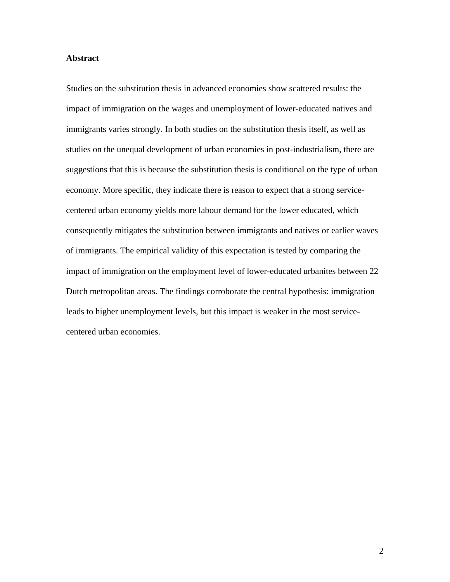#### **Abstract**

Studies on the substitution thesis in advanced economies show scattered results: the impact of immigration on the wages and unemployment of lower-educated natives and immigrants varies strongly. In both studies on the substitution thesis itself, as well as studies on the unequal development of urban economies in post-industrialism, there are suggestions that this is because the substitution thesis is conditional on the type of urban economy. More specific, they indicate there is reason to expect that a strong servicecentered urban economy yields more labour demand for the lower educated, which consequently mitigates the substitution between immigrants and natives or earlier waves of immigrants. The empirical validity of this expectation is tested by comparing the impact of immigration on the employment level of lower-educated urbanites between 22 Dutch metropolitan areas. The findings corroborate the central hypothesis: immigration leads to higher unemployment levels, but this impact is weaker in the most servicecentered urban economies.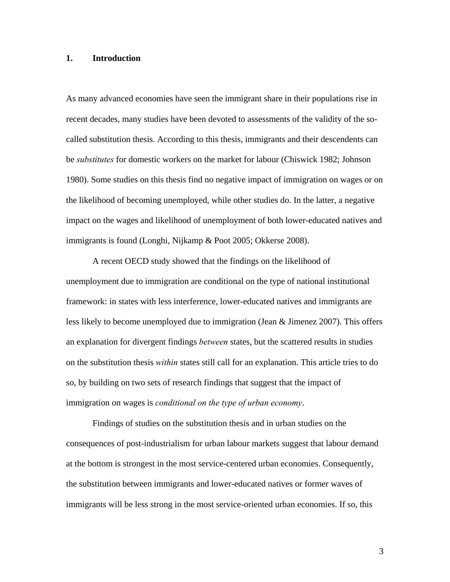### **1. Introduction**

As many advanced economies have seen the immigrant share in their populations rise in recent decades, many studies have been devoted to assessments of the validity of the socalled substitution thesis. According to this thesis, immigrants and their descendents can be *substitutes* for domestic workers on the market for labour (Chiswick 1982; Johnson 1980). Some studies on this thesis find no negative impact of immigration on wages or on the likelihood of becoming unemployed, while other studies do. In the latter, a negative impact on the wages and likelihood of unemployment of both lower-educated natives and immigrants is found (Longhi, Nijkamp & Poot 2005; Okkerse 2008).

A recent OECD study showed that the findings on the likelihood of unemployment due to immigration are conditional on the type of national institutional framework: in states with less interference, lower-educated natives and immigrants are less likely to become unemployed due to immigration (Jean & Jimenez 2007). This offers an explanation for divergent findings *between* states, but the scattered results in studies on the substitution thesis *within* states still call for an explanation. This article tries to do so, by building on two sets of research findings that suggest that the impact of immigration on wages is *conditional on the type of urban economy*.

Findings of studies on the substitution thesis and in urban studies on the consequences of post-industrialism for urban labour markets suggest that labour demand at the bottom is strongest in the most service-centered urban economies. Consequently, the substitution between immigrants and lower-educated natives or former waves of immigrants will be less strong in the most service-oriented urban economies. If so, this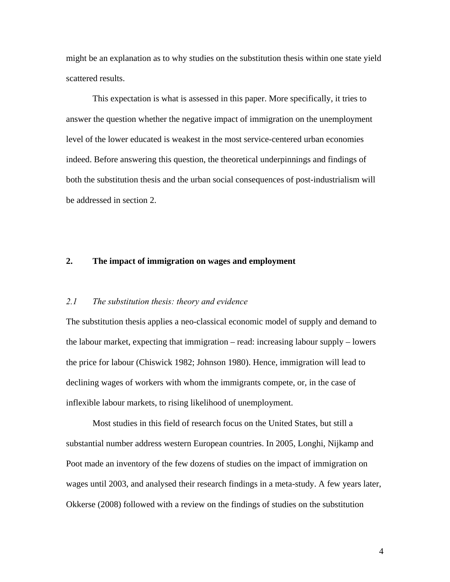might be an explanation as to why studies on the substitution thesis within one state yield scattered results.

This expectation is what is assessed in this paper. More specifically, it tries to answer the question whether the negative impact of immigration on the unemployment level of the lower educated is weakest in the most service-centered urban economies indeed. Before answering this question, the theoretical underpinnings and findings of both the substitution thesis and the urban social consequences of post-industrialism will be addressed in section 2.

## **2. The impact of immigration on wages and employment**

#### *2.1 The substitution thesis: theory and evidence*

The substitution thesis applies a neo-classical economic model of supply and demand to the labour market, expecting that immigration – read: increasing labour supply – lowers the price for labour (Chiswick 1982; Johnson 1980). Hence, immigration will lead to declining wages of workers with whom the immigrants compete, or, in the case of inflexible labour markets, to rising likelihood of unemployment.

Most studies in this field of research focus on the United States, but still a substantial number address western European countries. In 2005, Longhi, Nijkamp and Poot made an inventory of the few dozens of studies on the impact of immigration on wages until 2003, and analysed their research findings in a meta-study. A few years later, Okkerse (2008) followed with a review on the findings of studies on the substitution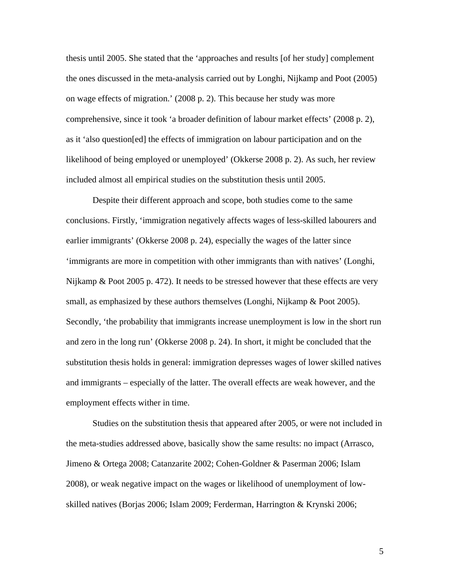thesis until 2005. She stated that the 'approaches and results [of her study] complement the ones discussed in the meta-analysis carried out by Longhi, Nijkamp and Poot (2005) on wage effects of migration.' (2008 p. 2). This because her study was more comprehensive, since it took 'a broader definition of labour market effects' (2008 p. 2), as it 'also question[ed] the effects of immigration on labour participation and on the likelihood of being employed or unemployed' (Okkerse 2008 p. 2). As such, her review included almost all empirical studies on the substitution thesis until 2005.

Despite their different approach and scope, both studies come to the same conclusions. Firstly, 'immigration negatively affects wages of less-skilled labourers and earlier immigrants' (Okkerse 2008 p. 24), especially the wages of the latter since 'immigrants are more in competition with other immigrants than with natives' (Longhi, Nijkamp & Poot 2005 p. 472). It needs to be stressed however that these effects are very small, as emphasized by these authors themselves (Longhi, Nijkamp & Poot 2005). Secondly, 'the probability that immigrants increase unemployment is low in the short run and zero in the long run' (Okkerse 2008 p. 24). In short, it might be concluded that the substitution thesis holds in general: immigration depresses wages of lower skilled natives and immigrants – especially of the latter. The overall effects are weak however, and the employment effects wither in time.

Studies on the substitution thesis that appeared after 2005, or were not included in the meta-studies addressed above, basically show the same results: no impact (Arrasco, Jimeno & Ortega 2008; Catanzarite 2002; Cohen-Goldner & Paserman 2006; Islam 2008), or weak negative impact on the wages or likelihood of unemployment of lowskilled natives (Borjas 2006; Islam 2009; Ferderman, Harrington & Krynski 2006;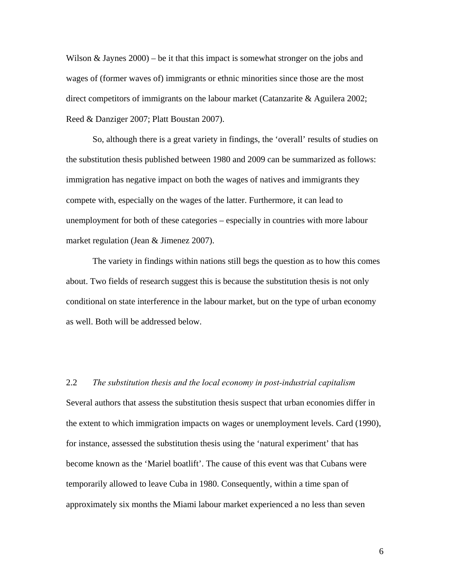Wilson  $\&$  Jaynes 2000) – be it that this impact is somewhat stronger on the jobs and wages of (former waves of) immigrants or ethnic minorities since those are the most direct competitors of immigrants on the labour market (Catanzarite & Aguilera 2002; Reed & Danziger 2007; Platt Boustan 2007).

So, although there is a great variety in findings, the 'overall' results of studies on the substitution thesis published between 1980 and 2009 can be summarized as follows: immigration has negative impact on both the wages of natives and immigrants they compete with, especially on the wages of the latter. Furthermore, it can lead to unemployment for both of these categories – especially in countries with more labour market regulation (Jean & Jimenez 2007).

The variety in findings within nations still begs the question as to how this comes about. Two fields of research suggest this is because the substitution thesis is not only conditional on state interference in the labour market, but on the type of urban economy as well. Both will be addressed below.

2.2 *The substitution thesis and the local economy in post-industrial capitalism* Several authors that assess the substitution thesis suspect that urban economies differ in the extent to which immigration impacts on wages or unemployment levels. Card (1990), for instance, assessed the substitution thesis using the 'natural experiment' that has become known as the 'Mariel boatlift'. The cause of this event was that Cubans were temporarily allowed to leave Cuba in 1980. Consequently, within a time span of approximately six months the Miami labour market experienced a no less than seven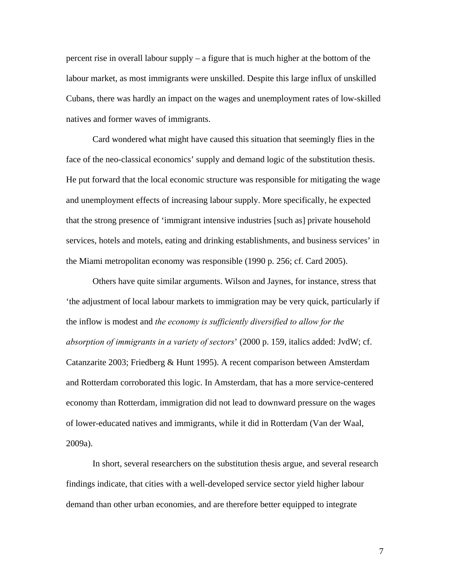percent rise in overall labour supply – a figure that is much higher at the bottom of the labour market, as most immigrants were unskilled. Despite this large influx of unskilled Cubans, there was hardly an impact on the wages and unemployment rates of low-skilled natives and former waves of immigrants.

Card wondered what might have caused this situation that seemingly flies in the face of the neo-classical economics' supply and demand logic of the substitution thesis. He put forward that the local economic structure was responsible for mitigating the wage and unemployment effects of increasing labour supply. More specifically, he expected that the strong presence of 'immigrant intensive industries [such as] private household services, hotels and motels, eating and drinking establishments, and business services' in the Miami metropolitan economy was responsible (1990 p. 256; cf. Card 2005).

Others have quite similar arguments. Wilson and Jaynes, for instance, stress that 'the adjustment of local labour markets to immigration may be very quick, particularly if the inflow is modest and *the economy is sufficiently diversified to allow for the absorption of immigrants in a variety of sectors*' (2000 p. 159, italics added: JvdW; cf. Catanzarite 2003; Friedberg & Hunt 1995). A recent comparison between Amsterdam and Rotterdam corroborated this logic. In Amsterdam, that has a more service-centered economy than Rotterdam, immigration did not lead to downward pressure on the wages of lower-educated natives and immigrants, while it did in Rotterdam (Van der Waal, 2009a).

In short, several researchers on the substitution thesis argue, and several research findings indicate, that cities with a well-developed service sector yield higher labour demand than other urban economies, and are therefore better equipped to integrate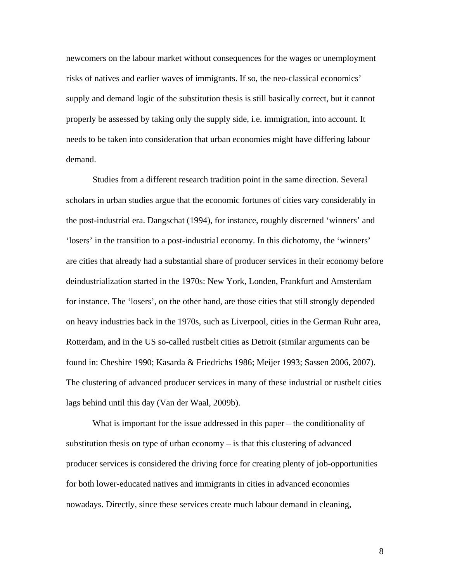newcomers on the labour market without consequences for the wages or unemployment risks of natives and earlier waves of immigrants. If so, the neo-classical economics' supply and demand logic of the substitution thesis is still basically correct, but it cannot properly be assessed by taking only the supply side, i.e. immigration, into account. It needs to be taken into consideration that urban economies might have differing labour demand.

Studies from a different research tradition point in the same direction. Several scholars in urban studies argue that the economic fortunes of cities vary considerably in the post-industrial era. Dangschat (1994), for instance, roughly discerned 'winners' and 'losers' in the transition to a post-industrial economy. In this dichotomy, the 'winners' are cities that already had a substantial share of producer services in their economy before deindustrialization started in the 1970s: New York, Londen, Frankfurt and Amsterdam for instance. The 'losers', on the other hand, are those cities that still strongly depended on heavy industries back in the 1970s, such as Liverpool, cities in the German Ruhr area, Rotterdam, and in the US so-called rustbelt cities as Detroit (similar arguments can be found in: Cheshire 1990; Kasarda & Friedrichs 1986; Meijer 1993; Sassen 2006, 2007). The clustering of advanced producer services in many of these industrial or rustbelt cities lags behind until this day (Van der Waal, 2009b).

What is important for the issue addressed in this paper – the conditionality of substitution thesis on type of urban economy – is that this clustering of advanced producer services is considered the driving force for creating plenty of job-opportunities for both lower-educated natives and immigrants in cities in advanced economies nowadays. Directly, since these services create much labour demand in cleaning,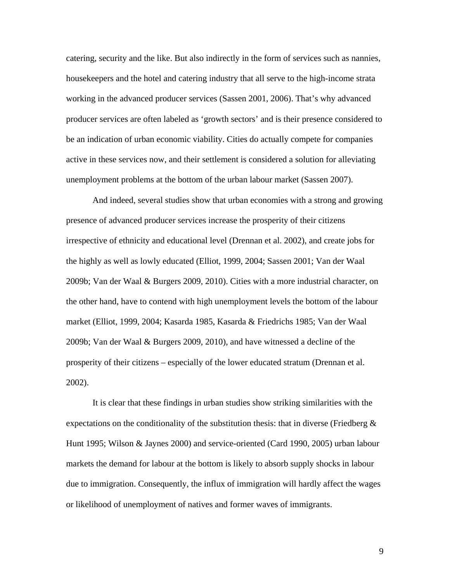catering, security and the like. But also indirectly in the form of services such as nannies, housekeepers and the hotel and catering industry that all serve to the high-income strata working in the advanced producer services (Sassen 2001, 2006). That's why advanced producer services are often labeled as 'growth sectors' and is their presence considered to be an indication of urban economic viability. Cities do actually compete for companies active in these services now, and their settlement is considered a solution for alleviating unemployment problems at the bottom of the urban labour market (Sassen 2007).

And indeed, several studies show that urban economies with a strong and growing presence of advanced producer services increase the prosperity of their citizens irrespective of ethnicity and educational level (Drennan et al. 2002), and create jobs for the highly as well as lowly educated (Elliot, 1999, 2004; Sassen 2001; Van der Waal 2009b; Van der Waal & Burgers 2009, 2010). Cities with a more industrial character, on the other hand, have to contend with high unemployment levels the bottom of the labour market (Elliot, 1999, 2004; Kasarda 1985, Kasarda & Friedrichs 1985; Van der Waal 2009b; Van der Waal & Burgers 2009, 2010), and have witnessed a decline of the prosperity of their citizens – especially of the lower educated stratum (Drennan et al. 2002).

It is clear that these findings in urban studies show striking similarities with the expectations on the conditionality of the substitution thesis: that in diverse (Friedberg  $\&$ Hunt 1995; Wilson & Jaynes 2000) and service-oriented (Card 1990, 2005) urban labour markets the demand for labour at the bottom is likely to absorb supply shocks in labour due to immigration. Consequently, the influx of immigration will hardly affect the wages or likelihood of unemployment of natives and former waves of immigrants.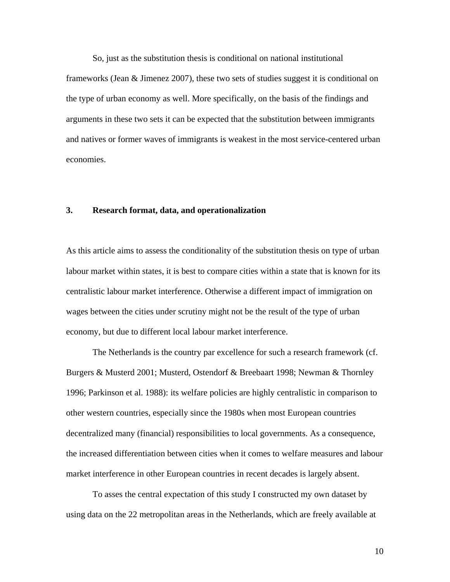So, just as the substitution thesis is conditional on national institutional

frameworks (Jean & Jimenez 2007), these two sets of studies suggest it is conditional on the type of urban economy as well. More specifically, on the basis of the findings and arguments in these two sets it can be expected that the substitution between immigrants and natives or former waves of immigrants is weakest in the most service-centered urban economies.

## **3. Research format, data, and operationalization**

As this article aims to assess the conditionality of the substitution thesis on type of urban labour market within states, it is best to compare cities within a state that is known for its centralistic labour market interference. Otherwise a different impact of immigration on wages between the cities under scrutiny might not be the result of the type of urban economy, but due to different local labour market interference.

The Netherlands is the country par excellence for such a research framework (cf. Burgers & Musterd 2001; Musterd, Ostendorf & Breebaart 1998; Newman & Thornley 1996; Parkinson et al. 1988): its welfare policies are highly centralistic in comparison to other western countries, especially since the 1980s when most European countries decentralized many (financial) responsibilities to local governments. As a consequence, the increased differentiation between cities when it comes to welfare measures and labour market interference in other European countries in recent decades is largely absent.

To asses the central expectation of this study I constructed my own dataset by using data on the 22 metropolitan areas in the Netherlands, which are freely available at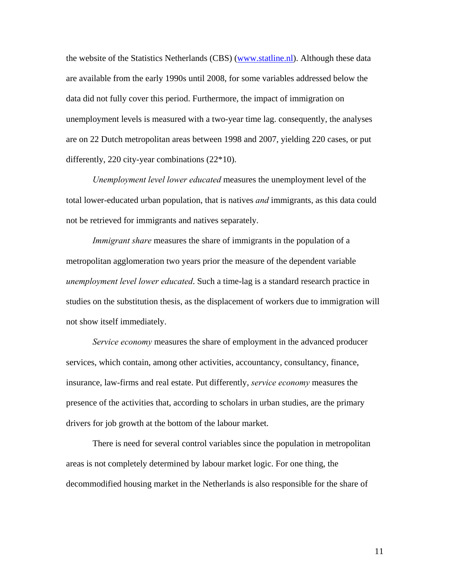the website of the Statistics Netherlands (CBS) ([www.statline.nl\)](http://www.statline.nl/). Although these data are available from the early 1990s until 2008, for some variables addressed below the data did not fully cover this period. Furthermore, the impact of immigration on unemployment levels is measured with a two-year time lag. consequently, the analyses are on 22 Dutch metropolitan areas between 1998 and 2007, yielding 220 cases, or put differently, 220 city-year combinations (22\*10).

*Unemployment level lower educated* measures the unemployment level of the total lower-educated urban population, that is natives *and* immigrants, as this data could not be retrieved for immigrants and natives separately.

*Immigrant share* measures the share of immigrants in the population of a metropolitan agglomeration two years prior the measure of the dependent variable *unemployment level lower educated*. Such a time-lag is a standard research practice in studies on the substitution thesis, as the displacement of workers due to immigration will not show itself immediately.

*Service economy* measures the share of employment in the advanced producer services, which contain, among other activities, accountancy, consultancy, finance, insurance, law-firms and real estate. Put differently, *service economy* measures the presence of the activities that, according to scholars in urban studies, are the primary drivers for job growth at the bottom of the labour market.

There is need for several control variables since the population in metropolitan areas is not completely determined by labour market logic. For one thing, the decommodified housing market in the Netherlands is also responsible for the share of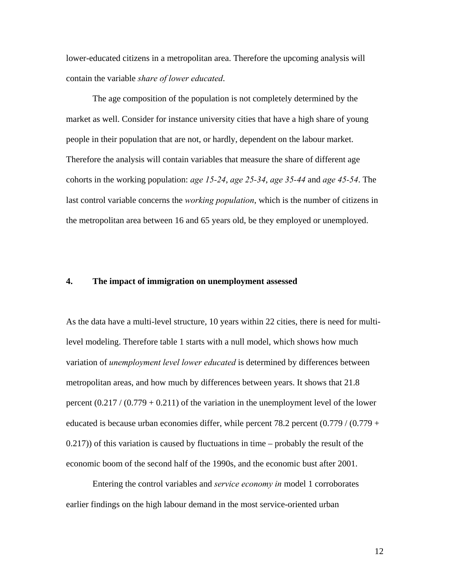lower-educated citizens in a metropolitan area. Therefore the upcoming analysis will contain the variable *share of lower educated*.

The age composition of the population is not completely determined by the market as well. Consider for instance university cities that have a high share of young people in their population that are not, or hardly, dependent on the labour market. Therefore the analysis will contain variables that measure the share of different age cohorts in the working population: *age 15-24*, *age 25-34*, *age 35-44* and *age 45-54*. The last control variable concerns the *working population*, which is the number of citizens in the metropolitan area between 16 and 65 years old, be they employed or unemployed.

#### **4. The impact of immigration on unemployment assessed**

As the data have a multi-level structure, 10 years within 22 cities, there is need for multilevel modeling. Therefore table 1 starts with a null model, which shows how much variation of *unemployment level lower educated* is determined by differences between metropolitan areas, and how much by differences between years. It shows that 21.8 percent  $(0.217 / (0.779 + 0.211)$  of the variation in the unemployment level of the lower educated is because urban economies differ, while percent  $78.2$  percent  $(0.779 / (0.779 +$  $(0.217)$ ) of this variation is caused by fluctuations in time – probably the result of the economic boom of the second half of the 1990s, and the economic bust after 2001.

Entering the control variables and *service economy in* model 1 corroborates earlier findings on the high labour demand in the most service-oriented urban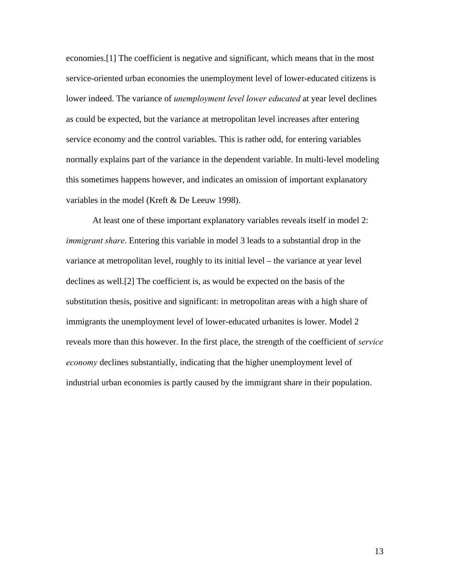economies.[1] The coefficient is negative and significant, which means that in the most service-oriented urban economies the unemployment level of lower-educated citizens is lower indeed. The variance of *unemployment level lower educated* at year level declines as could be expected, but the variance at metropolitan level increases after entering service economy and the control variables. This is rather odd, for entering variables normally explains part of the variance in the dependent variable. In multi-level modeling this sometimes happens however, and indicates an omission of important explanatory variables in the model (Kreft & De Leeuw 1998).

At least one of these important explanatory variables reveals itself in model 2: *immigrant share*. Entering this variable in model 3 leads to a substantial drop in the variance at metropolitan level, roughly to its initial level – the variance at year level declines as well.[2] The coefficient is, as would be expected on the basis of the substitution thesis, positive and significant: in metropolitan areas with a high share of immigrants the unemployment level of lower-educated urbanites is lower. Model 2 reveals more than this however. In the first place, the strength of the coefficient of *service economy* declines substantially, indicating that the higher unemployment level of industrial urban economies is partly caused by the immigrant share in their population.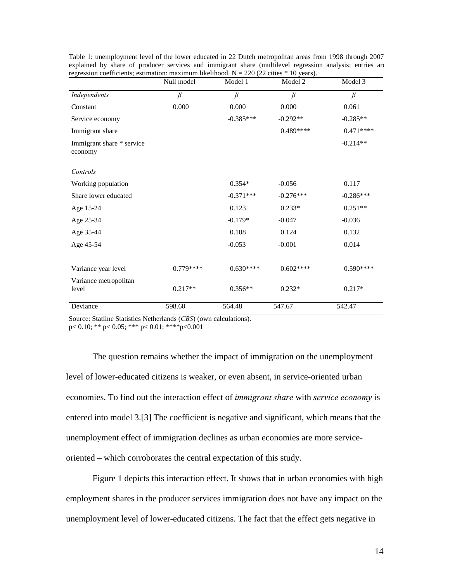| regression coerneicins, estimation. maximum incliniout. $N = 220$ (22 cmes) | Null model | Model 1     | TO years).<br>Model 2 | Model 3     |
|-----------------------------------------------------------------------------|------------|-------------|-----------------------|-------------|
| Independents                                                                | $\beta$    | $\beta$     | $\beta$               | $\beta$     |
| Constant                                                                    | 0.000      | 0.000       | 0.000                 | 0.061       |
| Service economy                                                             |            | $-0.385***$ | $-0.292**$            | $-0.285**$  |
| Immigrant share                                                             |            |             | $0.489***$            | $0.471***$  |
| Immigrant share * service<br>economy                                        |            |             |                       | $-0.214**$  |
| Controls                                                                    |            |             |                       |             |
| Working population                                                          |            | $0.354*$    | $-0.056$              | 0.117       |
| Share lower educated                                                        |            | $-0.371***$ | $-0.276***$           | $-0.286***$ |
| Age 15-24                                                                   |            | 0.123       | $0.233*$              | $0.251**$   |
| Age 25-34                                                                   |            | $-0.179*$   | $-0.047$              | $-0.036$    |
| Age 35-44                                                                   |            | 0.108       | 0.124                 | 0.132       |
| Age 45-54                                                                   |            | $-0.053$    | $-0.001$              | 0.014       |
| Variance year level                                                         | $0.779***$ | $0.630***$  | $0.602***$            | $0.590***$  |
| Variance metropolitan<br>level                                              | $0.217**$  | $0.356**$   | $0.232*$              | $0.217*$    |
| Deviance                                                                    | 598.60     | 564.48      | 547.67                | 542.47      |

Table 1: unemployment level of the lower educated in 22 Dutch metropolitan areas from 1998 through 2007 explained by share of producer services and immigrant share (multilevel regression analysis; entries are regression coefficients; estimation: maximum likelihood.  $N = 220$  (22 cities  $*$  10 years).

Source: Statline Statistics Netherlands (*CBS*) (own calculations).

p< 0.10; \*\* p< 0.05; \*\*\* p< 0.01; \*\*\*\*p<0.001

The question remains whether the impact of immigration on the unemployment level of lower-educated citizens is weaker, or even absent, in service-oriented urban economies. To find out the interaction effect of *immigrant share* with *service economy* is entered into model 3.[3] The coefficient is negative and significant, which means that the unemployment effect of immigration declines as urban economies are more serviceoriented – which corroborates the central expectation of this study.

Figure 1 depicts this interaction effect. It shows that in urban economies with high employment shares in the producer services immigration does not have any impact on the unemployment level of lower-educated citizens. The fact that the effect gets negative in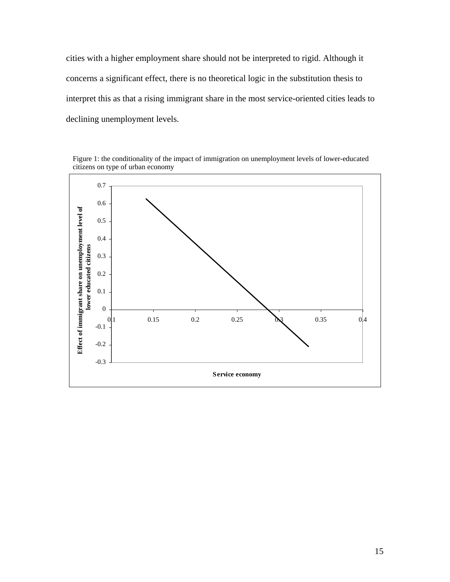cities with a higher employment share should not be interpreted to rigid. Although it concerns a significant effect, there is no theoretical logic in the substitution thesis to interpret this as that a rising immigrant share in the most service-oriented cities leads to declining unemployment levels.

Figure 1: the conditionality of the impact of immigration on unemployment levels of lower-educated citizens on type of urban economy

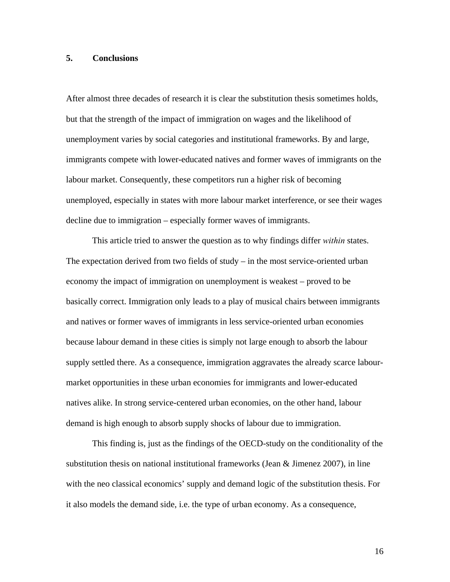### **5. Conclusions**

After almost three decades of research it is clear the substitution thesis sometimes holds, but that the strength of the impact of immigration on wages and the likelihood of unemployment varies by social categories and institutional frameworks. By and large, immigrants compete with lower-educated natives and former waves of immigrants on the labour market. Consequently, these competitors run a higher risk of becoming unemployed, especially in states with more labour market interference, or see their wages decline due to immigration – especially former waves of immigrants.

This article tried to answer the question as to why findings differ *within* states. The expectation derived from two fields of study – in the most service-oriented urban economy the impact of immigration on unemployment is weakest – proved to be basically correct. Immigration only leads to a play of musical chairs between immigrants and natives or former waves of immigrants in less service-oriented urban economies because labour demand in these cities is simply not large enough to absorb the labour supply settled there. As a consequence, immigration aggravates the already scarce labourmarket opportunities in these urban economies for immigrants and lower-educated natives alike. In strong service-centered urban economies, on the other hand, labour demand is high enough to absorb supply shocks of labour due to immigration.

This finding is, just as the findings of the OECD-study on the conditionality of the substitution thesis on national institutional frameworks (Jean  $\&$  Jimenez 2007), in line with the neo classical economics' supply and demand logic of the substitution thesis. For it also models the demand side, i.e. the type of urban economy. As a consequence,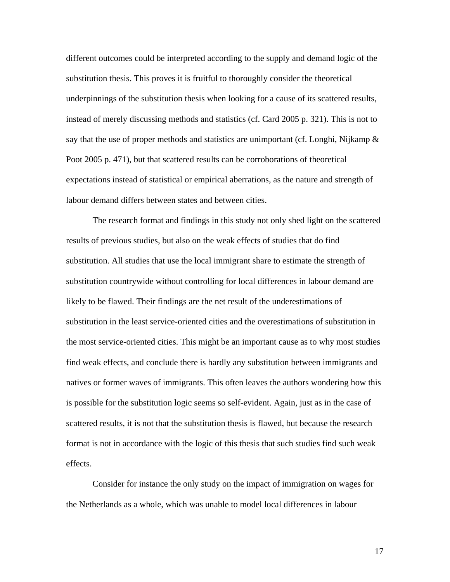different outcomes could be interpreted according to the supply and demand logic of the substitution thesis. This proves it is fruitful to thoroughly consider the theoretical underpinnings of the substitution thesis when looking for a cause of its scattered results, instead of merely discussing methods and statistics (cf. Card 2005 p. 321). This is not to say that the use of proper methods and statistics are unimportant (cf. Longhi, Nijkamp  $\&$ Poot 2005 p. 471), but that scattered results can be corroborations of theoretical expectations instead of statistical or empirical aberrations, as the nature and strength of labour demand differs between states and between cities.

The research format and findings in this study not only shed light on the scattered results of previous studies, but also on the weak effects of studies that do find substitution. All studies that use the local immigrant share to estimate the strength of substitution countrywide without controlling for local differences in labour demand are likely to be flawed. Their findings are the net result of the underestimations of substitution in the least service-oriented cities and the overestimations of substitution in the most service-oriented cities. This might be an important cause as to why most studies find weak effects, and conclude there is hardly any substitution between immigrants and natives or former waves of immigrants. This often leaves the authors wondering how this is possible for the substitution logic seems so self-evident. Again, just as in the case of scattered results, it is not that the substitution thesis is flawed, but because the research format is not in accordance with the logic of this thesis that such studies find such weak effects.

Consider for instance the only study on the impact of immigration on wages for the Netherlands as a whole, which was unable to model local differences in labour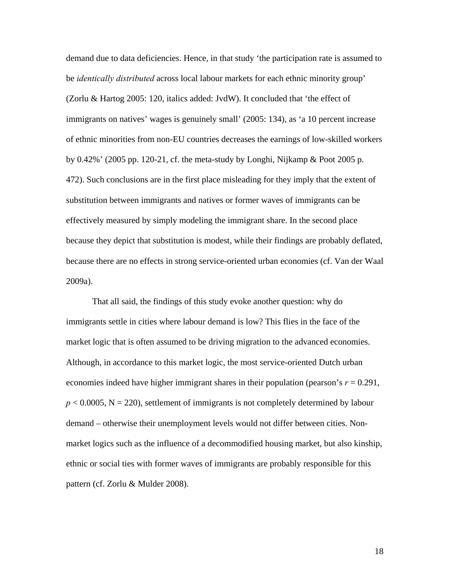demand due to data deficiencies. Hence, in that study 'the participation rate is assumed to be *identically distributed* across local labour markets for each ethnic minority group' (Zorlu & Hartog 2005: 120, italics added: JvdW). It concluded that 'the effect of immigrants on natives' wages is genuinely small' (2005: 134), as 'a 10 percent increase of ethnic minorities from non-EU countries decreases the earnings of low-skilled workers by  $0.42\%$  (2005 pp. 120-21, cf. the meta-study by Longhi, Nijkamp & Poot 2005 p. 472). Such conclusions are in the first place misleading for they imply that the extent of substitution between immigrants and natives or former waves of immigrants can be effectively measured by simply modeling the immigrant share. In the second place because they depict that substitution is modest, while their findings are probably deflated, because there are no effects in strong service-oriented urban economies (cf. Van der Waal 2009a).

That all said, the findings of this study evoke another question: why do immigrants settle in cities where labour demand is low? This flies in the face of the market logic that is often assumed to be driving migration to the advanced economies. Although, in accordance to this market logic, the most service-oriented Dutch urban economies indeed have higher immigrant shares in their population (pearson's  $r = 0.291$ ,  $p < 0.0005$ ,  $N = 220$ ), settlement of immigrants is not completely determined by labour demand – otherwise their unemployment levels would not differ between cities. Nonmarket logics such as the influence of a decommodified housing market, but also kinship, ethnic or social ties with former waves of immigrants are probably responsible for this pattern (cf. Zorlu & Mulder 2008).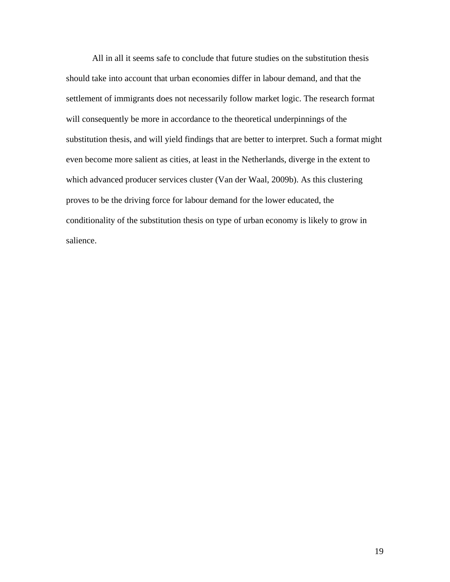All in all it seems safe to conclude that future studies on the substitution thesis should take into account that urban economies differ in labour demand, and that the settlement of immigrants does not necessarily follow market logic. The research format will consequently be more in accordance to the theoretical underpinnings of the substitution thesis, and will yield findings that are better to interpret. Such a format might even become more salient as cities, at least in the Netherlands, diverge in the extent to which advanced producer services cluster (Van der Waal, 2009b). As this clustering proves to be the driving force for labour demand for the lower educated, the conditionality of the substitution thesis on type of urban economy is likely to grow in salience.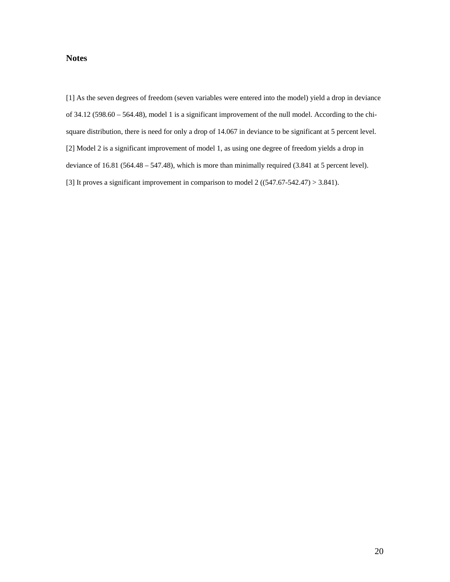# **Notes**

[1] As the seven degrees of freedom (seven variables were entered into the model) yield a drop in deviance of 34.12 (598.60 – 564.48), model 1 is a significant improvement of the null model. According to the chisquare distribution, there is need for only a drop of 14.067 in deviance to be significant at 5 percent level. [2] Model 2 is a significant improvement of model 1, as using one degree of freedom yields a drop in deviance of 16.81 (564.48 – 547.48), which is more than minimally required (3.841 at 5 percent level). [3] It proves a significant improvement in comparison to model  $2((547.67-542.47) > 3.841)$ .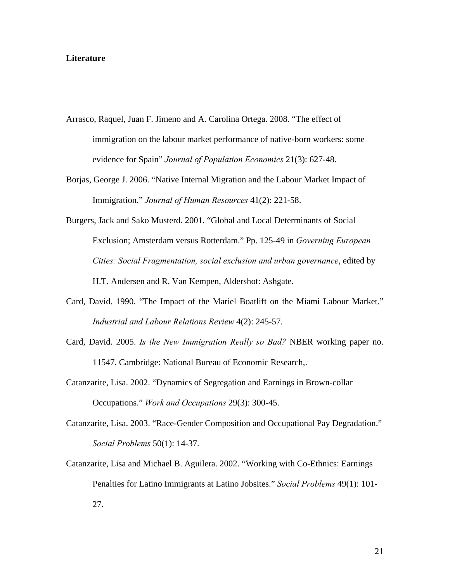#### **Literature**

- Arrasco, Raquel, Juan F. Jimeno and A. Carolina Ortega. 2008. "The effect of immigration on the labour market performance of native-born workers: some evidence for Spain" *Journal of Population Economics* 21(3): 627-48.
- Borjas, George J. 2006. "Native Internal Migration and the Labour Market Impact of Immigration." *Journal of Human Resources* 41(2): 221-58.
- Burgers, Jack and Sako Musterd. 2001. "Global and Local Determinants of Social Exclusion; Amsterdam versus Rotterdam." Pp. 125-49 in *Governing European Cities: Social Fragmentation, social exclusion and urban governance*, edited by H.T. Andersen and R. Van Kempen, Aldershot: Ashgate.
- Card, David. 1990. "The Impact of the Mariel Boatlift on the Miami Labour Market." *Industrial and Labour Relations Review* 4(2): 245-57.
- Card, David. 2005. *Is the New Immigration Really so Bad?* NBER working paper no. 11547. Cambridge: National Bureau of Economic Research,.
- Catanzarite, Lisa. 2002. "Dynamics of Segregation and Earnings in Brown-collar Occupations." *Work and Occupations* 29(3): 300-45.
- Catanzarite, Lisa. 2003. "Race-Gender Composition and Occupational Pay Degradation." *Social Problems* 50(1): 14-37.
- Catanzarite, Lisa and Michael B. Aguilera. 2002. "Working with Co-Ethnics: Earnings Penalties for Latino Immigrants at Latino Jobsites." *Social Problems* 49(1): 101- 27.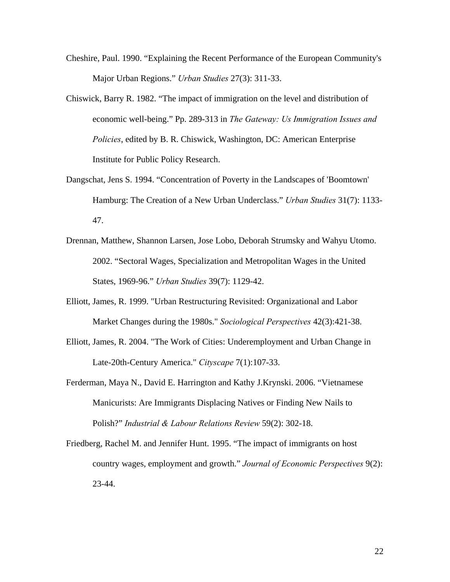- Cheshire, Paul. 1990. "Explaining the Recent Performance of the European Community's Major Urban Regions." *Urban Studies* 27(3): 311-33.
- Chiswick, Barry R. 1982. "The impact of immigration on the level and distribution of economic well-being." Pp. 289-313 in *The Gateway: Us Immigration Issues and Policies*, edited by B. R. Chiswick, Washington, DC: American Enterprise Institute for Public Policy Research.
- Dangschat, Jens S. 1994. "Concentration of Poverty in the Landscapes of 'Boomtown' Hamburg: The Creation of a New Urban Underclass." *Urban Studies* 31(7): 1133- 47.
- Drennan, Matthew, Shannon Larsen, Jose Lobo, Deborah Strumsky and Wahyu Utomo. 2002. "Sectoral Wages, Specialization and Metropolitan Wages in the United States, 1969-96." *Urban Studies* 39(7): 1129-42.
- Elliott, James, R. 1999. "Urban Restructuring Revisited: Organizational and Labor Market Changes during the 1980s." *Sociological Perspectives* 42(3):421-38.
- Elliott, James, R. 2004. "The Work of Cities: Underemployment and Urban Change in Late-20th-Century America." *Cityscape* 7(1):107-33.
- Ferderman, Maya N., David E. Harrington and Kathy J.Krynski. 2006. "Vietnamese Manicurists: Are Immigrants Displacing Natives or Finding New Nails to Polish?" *Industrial & Labour Relations Review* 59(2): 302-18.
- Friedberg, Rachel M. and Jennifer Hunt. 1995. "The impact of immigrants on host country wages, employment and growth." *Journal of Economic Perspectives* 9(2): 23-44.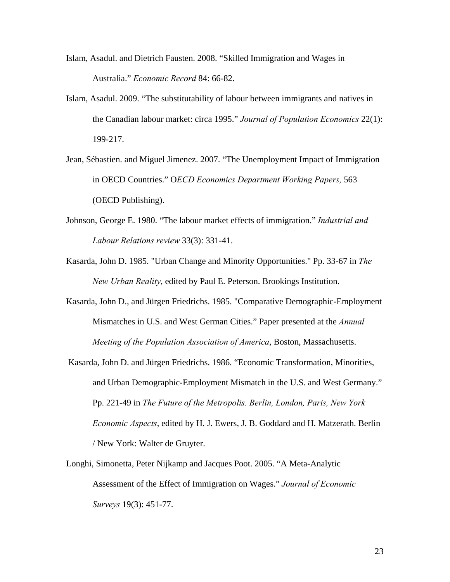- Islam, Asadul. and Dietrich Fausten. 2008. "Skilled Immigration and Wages in Australia." *Economic Record* 84: 66-82.
- Islam, Asadul. 2009. "The substitutability of labour between immigrants and natives in the Canadian labour market: circa 1995." *Journal of Population Economics* 22(1): 199-217.
- Jean, Sébastien. and Miguel Jimenez. 2007. "The Unemployment Impact of Immigration in OECD Countries." O*ECD Economics Department Working Papers,* 563 (OECD Publishing).
- Johnson, George E. 1980. "The labour market effects of immigration." *Industrial and Labour Relations review* 33(3): 331-41.
- Kasarda, John D. 1985. "Urban Change and Minority Opportunities." Pp. 33-67 in *The New Urban Reality*, edited by Paul E. Peterson. Brookings Institution.
- Kasarda, John D., and Jürgen Friedrichs. 1985. "Comparative Demographic-Employment Mismatches in U.S. and West German Cities." Paper presented at the *Annual Meeting of the Population Association of America*, Boston, Massachusetts.
- Kasarda, John D. and Jürgen Friedrichs. 1986. "Economic Transformation, Minorities, and Urban Demographic-Employment Mismatch in the U.S. and West Germany." Pp. 221-49 in *The Future of the Metropolis. Berlin, London, Paris, New York Economic Aspects*, edited by H. J. Ewers, J. B. Goddard and H. Matzerath. Berlin / New York: Walter de Gruyter.
- Longhi, Simonetta, Peter Nijkamp and Jacques Poot. 2005. "A Meta-Analytic Assessment of the Effect of Immigration on Wages." *Journal of Economic Surveys* 19(3): 451-77.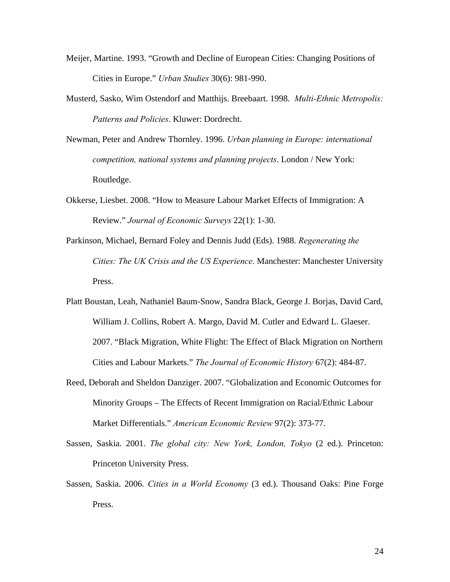- Meijer, Martine. 1993. "Growth and Decline of European Cities: Changing Positions of Cities in Europe." *Urban Studies* 30(6): 981-990.
- Musterd, Sasko, Wim Ostendorf and Matthijs. Breebaart. 1998. *Multi-Ethnic Metropolis: Patterns and Policies*. Kluwer: Dordrecht.
- Newman, Peter and Andrew Thornley. 1996. *Urban planning in Europe: international competition, national systems and planning projects*. London / New York: Routledge.
- Okkerse, Liesbet. 2008. "How to Measure Labour Market Effects of Immigration: A Review." *Journal of Economic Surveys* 22(1): 1-30.
- Parkinson, Michael, Bernard Foley and Dennis Judd (Eds). 1988. *Regenerating the Cities: The UK Crisis and the US Experience*. Manchester: Manchester University Press.
- Platt Boustan, Leah, Nathaniel Baum-Snow, Sandra Black, George J. Borjas, David Card, William J. Collins, Robert A. Margo, David M. Cutler and Edward L. Glaeser. 2007. "Black Migration, White Flight: The Effect of Black Migration on Northern Cities and Labour Markets." *The Journal of Economic History* 67(2): 484-87.
- Reed, Deborah and Sheldon Danziger. 2007. "Globalization and Economic Outcomes for Minority Groups – The Effects of Recent Immigration on Racial/Ethnic Labour Market Differentials." *American Economic Review* 97(2): 373-77.
- Sassen, Saskia. 2001. *The global city: New York, London, Tokyo* (2 ed.). Princeton: Princeton University Press.
- Sassen, Saskia. 2006. *Cities in a World Economy* (3 ed.). Thousand Oaks: Pine Forge Press.